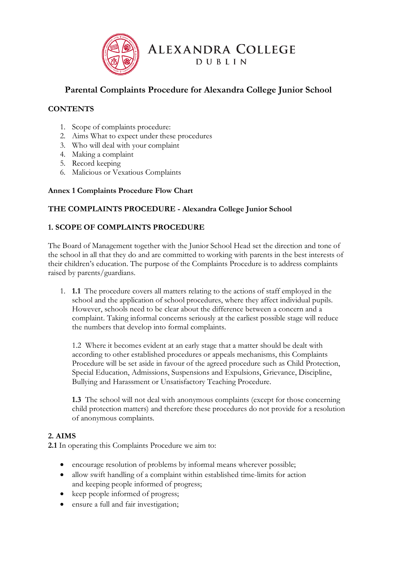

# **Parental Complaints Procedure for Alexandra College Junior School**

# **CONTENTS**

- 1. Scope of complaints procedure:
- 2. Aims What to expect under these procedures
- 3. Who will deal with your complaint
- 4. Making a complaint
- 5. Record keeping
- 6. Malicious or Vexatious Complaints

### **Annex 1 Complaints Procedure Flow Chart**

### **THE COMPLAINTS PROCEDURE - Alexandra College Junior School**

# **1. SCOPE OF COMPLAINTS PROCEDURE**

The Board of Management together with the Junior School Head set the direction and tone of the school in all that they do and are committed to working with parents in the best interests of their children's education. The purpose of the Complaints Procedure is to address complaints raised by parents/guardians.

1. **1.1** The procedure covers all matters relating to the actions of staff employed in the school and the application of school procedures, where they affect individual pupils. However, schools need to be clear about the difference between a concern and a complaint. Taking informal concerns seriously at the earliest possible stage will reduce the numbers that develop into formal complaints.

1.2 Where it becomes evident at an early stage that a matter should be dealt with according to other established procedures or appeals mechanisms, this Complaints Procedure will be set aside in favour of the agreed procedure such as Child Protection, Special Education, Admissions, Suspensions and Expulsions, Grievance, Discipline, Bullying and Harassment or Unsatisfactory Teaching Procedure.

**1.3** The school will not deal with anonymous complaints (except for those concerning child protection matters) and therefore these procedures do not provide for a resolution of anonymous complaints.

#### **2. AIMS**

**2.1** In operating this Complaints Procedure we aim to:

- encourage resolution of problems by informal means wherever possible;
- allow swift handling of a complaint within established time-limits for action and keeping people informed of progress;
- keep people informed of progress;
- ensure a full and fair investigation;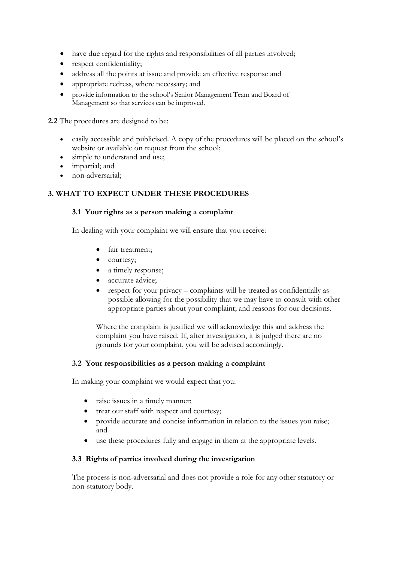- have due regard for the rights and responsibilities of all parties involved;
- respect confidentiality;
- address all the points at issue and provide an effective response and
- appropriate redress, where necessary; and
- provide information to the school's Senior Management Team and Board of Management so that services can be improved.

**2.2** The procedures are designed to be:

- easily accessible and publicised. A copy of the procedures will be placed on the school's website or available on request from the school;
- simple to understand and use;
- impartial; and
- non-adversarial;

### **3. WHAT TO EXPECT UNDER THESE PROCEDURES**

#### **3.1 Your rights as a person making a complaint**

In dealing with your complaint we will ensure that you receive:

- fair treatment;
- courtesy;
- a timely response;
- accurate advice;
- respect for your privacy complaints will be treated as confidentially as possible allowing for the possibility that we may have to consult with other appropriate parties about your complaint; and reasons for our decisions.

Where the complaint is justified we will acknowledge this and address the complaint you have raised. If, after investigation, it is judged there are no grounds for your complaint, you will be advised accordingly.

#### **3.2 Your responsibilities as a person making a complaint**

In making your complaint we would expect that you:

- raise issues in a timely manner;
- treat our staff with respect and courtesy;
- provide accurate and concise information in relation to the issues you raise; and
- use these procedures fully and engage in them at the appropriate levels.

#### **3.3 Rights of parties involved during the investigation**

The process is non-adversarial and does not provide a role for any other statutory or non-statutory body.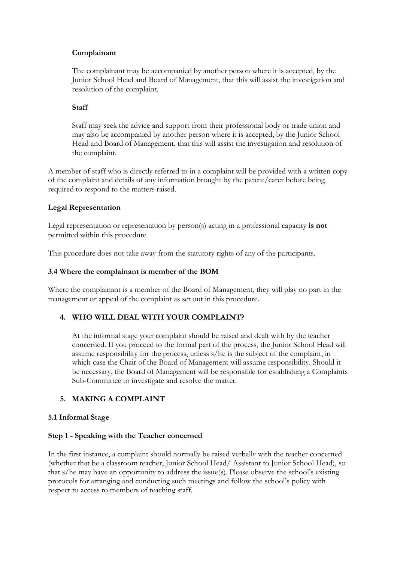### **Complainant**

The complainant may be accompanied by another person where it is accepted, by the Junior School Head and Board of Management, that this will assist the investigation and resolution of the complaint.

### **Staff**

Staff may seek the advice and support from their professional body or trade union and may also be accompanied by another person where it is accepted, by the Junior School Head and Board of Management, that this will assist the investigation and resolution of the complaint.

A member of staff who is directly referred to in a complaint will be provided with a written copy of the complaint and details of any information brought by the parent/carer before being required to respond to the matters raised.

### **Legal Representation**

Legal representation or representation by person(s) acting in a professional capacity **is not**  permitted within this procedure

This procedure does not take away from the statutory rights of any of the participants.

### **3.4 Where the complainant is member of the BOM**

Where the complainant is a member of the Board of Management, they will play no part in the management or appeal of the complaint as set out in this procedure.

# **4. WHO WILL DEAL WITH YOUR COMPLAINT?**

At the informal stage your complaint should be raised and dealt with by the teacher concerned. If you proceed to the formal part of the process, the Junior School Head will assume responsibility for the process, unless s/he is the subject of the complaint, in which case the Chair of the Board of Management will assume responsibility. Should it be necessary, the Board of Management will be responsible for establishing a Complaints Sub-Committee to investigate and resolve the matter.

# **5. MAKING A COMPLAINT**

#### **5.1 Informal Stage**

#### **Step 1 - Speaking with the Teacher concerned**

In the first instance, a complaint should normally be raised verbally with the teacher concerned (whether that be a classroom teacher, Junior School Head/ Assistant to Junior School Head), so that s/he may have an opportunity to address the issue(s). Please observe the school's existing protocols for arranging and conducting such meetings and follow the school's policy with respect to access to members of teaching staff.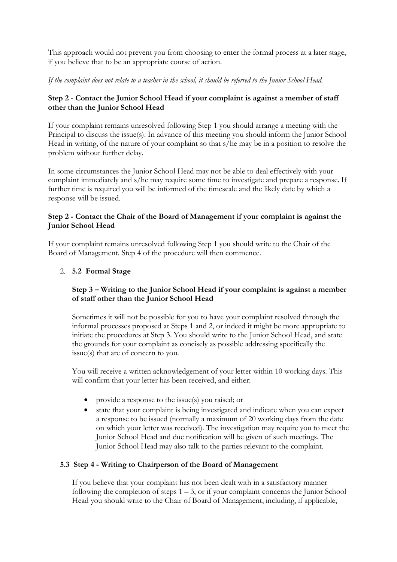This approach would not prevent you from choosing to enter the formal process at a later stage, if you believe that to be an appropriate course of action.

*If the complaint does not relate to a teacher in the school, it should be referred to the Junior School Head.* 

# **Step 2 - Contact the Junior School Head if your complaint is against a member of staff other than the Junior School Head**

If your complaint remains unresolved following Step 1 you should arrange a meeting with the Principal to discuss the issue(s). In advance of this meeting you should inform the Junior School Head in writing, of the nature of your complaint so that s/he may be in a position to resolve the problem without further delay.

In some circumstances the Junior School Head may not be able to deal effectively with your complaint immediately and s/he may require some time to investigate and prepare a response. If further time is required you will be informed of the timescale and the likely date by which a response will be issued.

# **Step 2 - Contact the Chair of the Board of Management if your complaint is against the Junior School Head**

If your complaint remains unresolved following Step 1 you should write to the Chair of the Board of Management. Step 4 of the procedure will then commence.

# 2. **5.2 Formal Stage**

# **Step 3 – Writing to the Junior School Head if your complaint is against a member of staff other than the Junior School Head**

Sometimes it will not be possible for you to have your complaint resolved through the informal processes proposed at Steps 1 and 2, or indeed it might be more appropriate to initiate the procedures at Step 3. You should write to the Junior School Head, and state the grounds for your complaint as concisely as possible addressing specifically the issue(s) that are of concern to you.

You will receive a written acknowledgement of your letter within 10 working days. This will confirm that your letter has been received, and either:

- provide a response to the issue(s) you raised; or
- state that your complaint is being investigated and indicate when you can expect a response to be issued (normally a maximum of 20 working days from the date on which your letter was received). The investigation may require you to meet the Junior School Head and due notification will be given of such meetings. The Junior School Head may also talk to the parties relevant to the complaint.

# **5.3 Step 4 - Writing to Chairperson of the Board of Management**

If you believe that your complaint has not been dealt with in a satisfactory manner following the completion of steps  $1 - 3$ , or if your complaint concerns the Junior School Head you should write to the Chair of Board of Management, including, if applicable,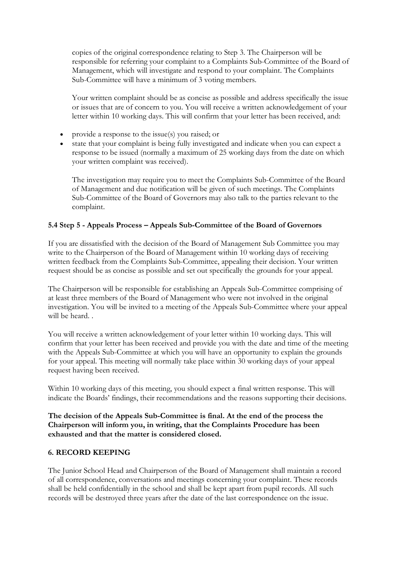copies of the original correspondence relating to Step 3. The Chairperson will be responsible for referring your complaint to a Complaints Sub-Committee of the Board of Management, which will investigate and respond to your complaint. The Complaints Sub-Committee will have a minimum of 3 voting members.

Your written complaint should be as concise as possible and address specifically the issue or issues that are of concern to you. You will receive a written acknowledgement of your letter within 10 working days. This will confirm that your letter has been received, and:

- provide a response to the issue(s) you raised; or
- state that your complaint is being fully investigated and indicate when you can expect a response to be issued (normally a maximum of 25 working days from the date on which your written complaint was received).

The investigation may require you to meet the Complaints Sub-Committee of the Board of Management and due notification will be given of such meetings. The Complaints Sub-Committee of the Board of Governors may also talk to the parties relevant to the complaint.

### **5.4 Step 5 - Appeals Process – Appeals Sub-Committee of the Board of Governors**

If you are dissatisfied with the decision of the Board of Management Sub Committee you may write to the Chairperson of the Board of Management within 10 working days of receiving written feedback from the Complaints Sub-Committee, appealing their decision. Your written request should be as concise as possible and set out specifically the grounds for your appeal.

The Chairperson will be responsible for establishing an Appeals Sub-Committee comprising of at least three members of the Board of Management who were not involved in the original investigation. You will be invited to a meeting of the Appeals Sub-Committee where your appeal will be heard. .

You will receive a written acknowledgement of your letter within 10 working days. This will confirm that your letter has been received and provide you with the date and time of the meeting with the Appeals Sub-Committee at which you will have an opportunity to explain the grounds for your appeal. This meeting will normally take place within 30 working days of your appeal request having been received.

Within 10 working days of this meeting, you should expect a final written response. This will indicate the Boards' findings, their recommendations and the reasons supporting their decisions.

**The decision of the Appeals Sub-Committee is final. At the end of the process the Chairperson will inform you, in writing, that the Complaints Procedure has been exhausted and that the matter is considered closed.** 

#### **6. RECORD KEEPING**

The Junior School Head and Chairperson of the Board of Management shall maintain a record of all correspondence, conversations and meetings concerning your complaint. These records shall be held confidentially in the school and shall be kept apart from pupil records. All such records will be destroyed three years after the date of the last correspondence on the issue.